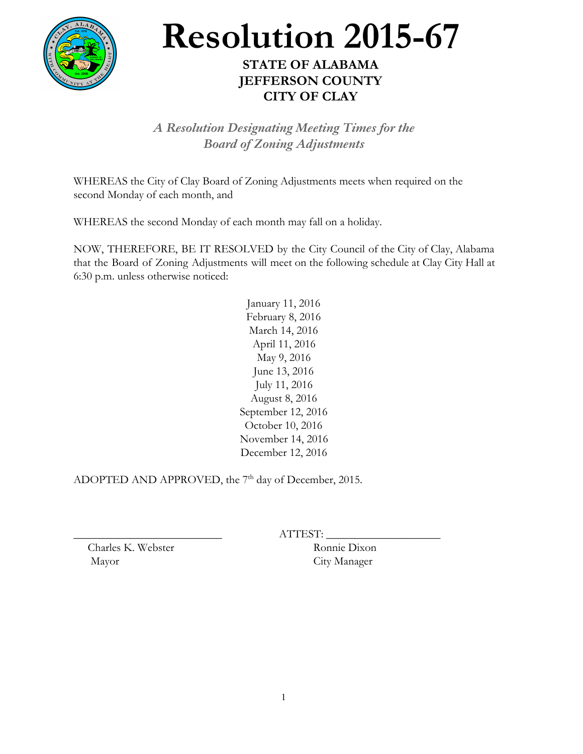

## **Resolution 2015-67**

## **STATE OF ALABAMA JEFFERSON COUNTY CITY OF CLAY**

*A Resolution Designating Meeting Times for the Board of Zoning Adjustments*

WHEREAS the City of Clay Board of Zoning Adjustments meets when required on the second Monday of each month, and

WHEREAS the second Monday of each month may fall on a holiday.

NOW, THEREFORE, BE IT RESOLVED by the City Council of the City of Clay, Alabama that the Board of Zoning Adjustments will meet on the following schedule at Clay City Hall at 6:30 p.m. unless otherwise noticed:

> January 11, 2016 February 8, 2016 March 14, 2016 April 11, 2016 May 9, 2016 June 13, 2016 July 11, 2016 August 8, 2016 September 12, 2016 October 10, 2016 November 14, 2016 December 12, 2016

ADOPTED AND APPROVED, the  $7<sup>th</sup>$  day of December, 2015.

ATTEST: \_

Charles K. Webster Ronnie Dixon Mayor City Manager